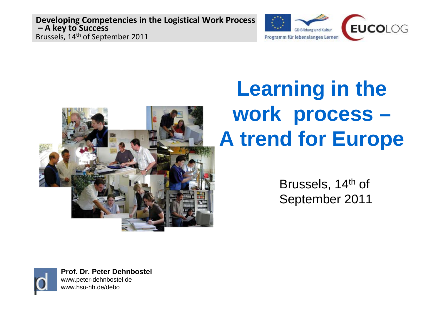



# **Learning in the work process – A trend for Europe**

Brussels, 14<sup>th</sup> of September 2011

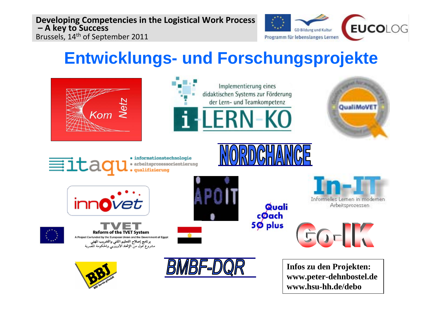

**www.hsu-hh.de/debo**

## **Entwicklungs- und Forschungsprojekte**

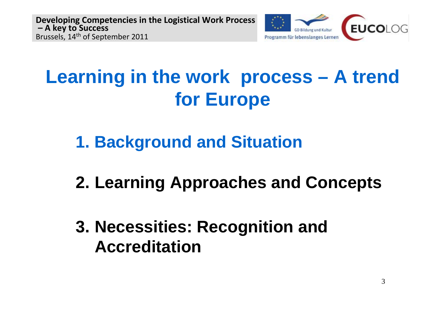

## **Learning in the work process – A trend for Europe**

- **1. Background and Situation**
- **2. Learning Approaches and Concepts**
- **3. Necessities: Recognition and Accreditation**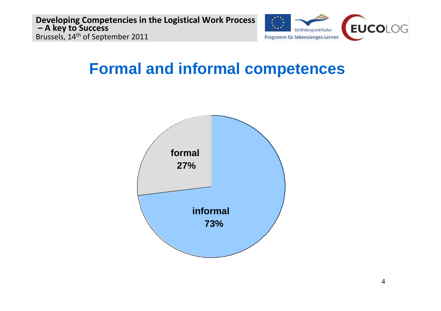

## **Formal and informal competences**

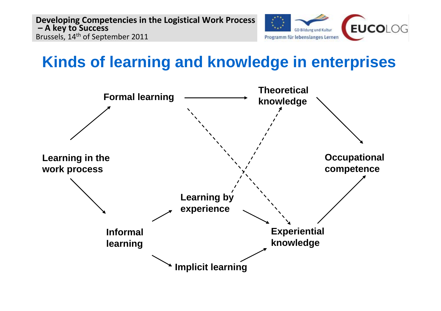

## **Kinds of learning and knowledge in enterprises**

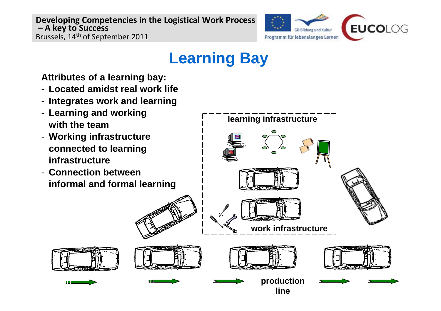

## **Learning Bay**

**Attributes of a learning bay:**

- **Located amidst real work life**
- **Integrates work and learning**
- **Learning and working with the team**
- **Working infrastructure connected to learning infrastructure**
- **Connection between informal and formal learning**



**line**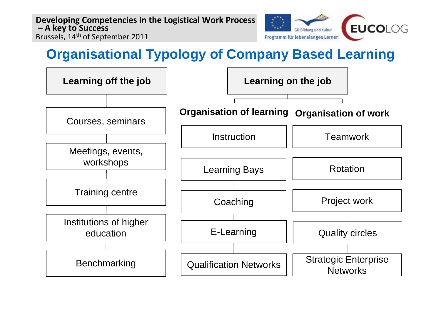

### **Organisational Typology of Company Based Learning**

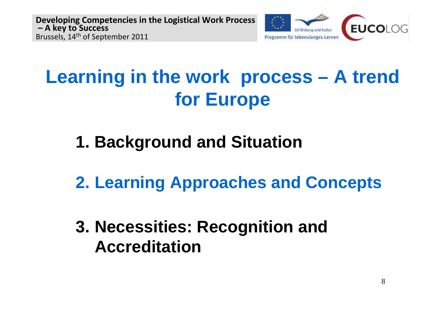

## **Learning in the work process – A trend for Europe**

## **1. Background and Situation**

**2. Learning Approaches and Concepts**

**3. Necessities: Recognition and Accreditation**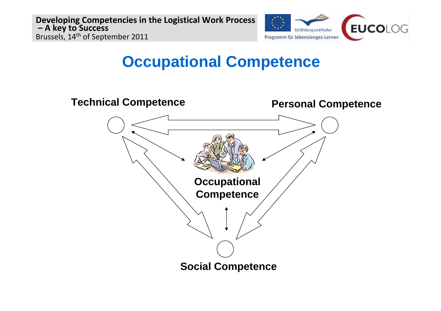

## **Occupational Competence**

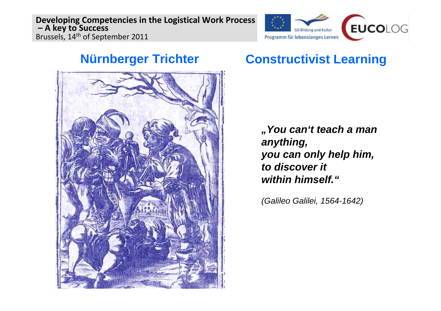

#### **Nürnberger Trichter**



#### **Constructivist Learning**

*"You can't teach a man anything, you can only help him, to discover it within himself."*

*(Galileo Galilei, 1564-1642)*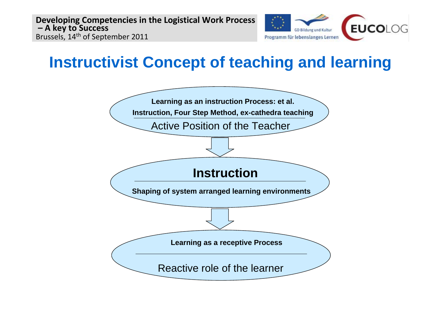

## **Instructivist Concept of teaching and learning**

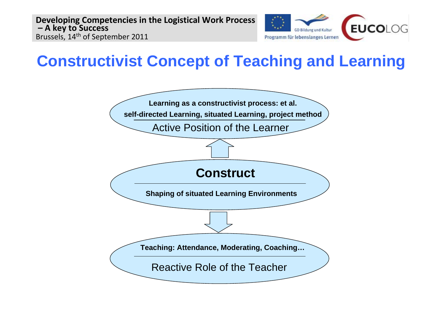

## **Constructivist Concept of Teaching and Learning**

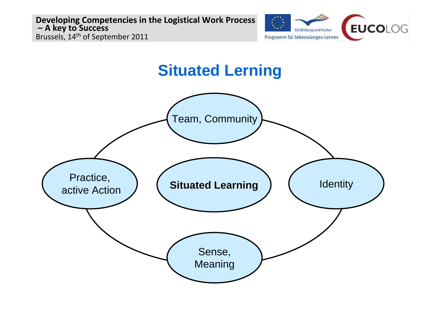

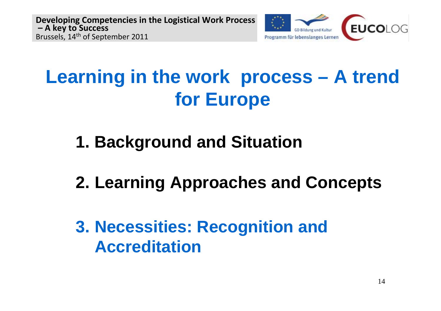

## **Learning in the work process – A trend for Europe**

- **1. Background and Situation**
- **2. Learning Approaches and Concepts**

**3. Necessities: Recognition and Accreditation**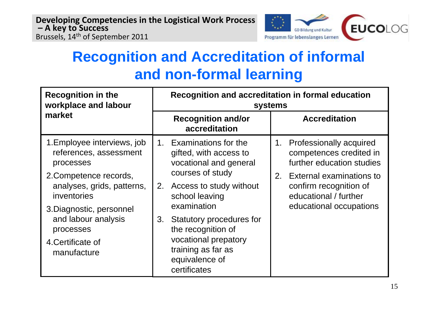

## **Recognition and Accreditation of informal and non-formal learning**

| <b>Recognition in the</b><br>workplace and labour                                                |    | Recognition and accreditation in formal education<br>systems                                                                   |  |                                                                                                           |  |
|--------------------------------------------------------------------------------------------------|----|--------------------------------------------------------------------------------------------------------------------------------|--|-----------------------------------------------------------------------------------------------------------|--|
| market                                                                                           |    | <b>Recognition and/or</b><br>accreditation                                                                                     |  | <b>Accreditation</b>                                                                                      |  |
| 1. Employee interviews, job<br>references, assessment<br>processes                               |    | 1. Examinations for the<br>gifted, with access to<br>vocational and general                                                    |  | 1. Professionally acquired<br>competences credited in<br>further education studies                        |  |
| 2. Competence records,<br>analyses, grids, patterns,<br>inventories                              | 2. | courses of study<br>Access to study without<br>school leaving<br>examination                                                   |  | 2. External examinations to<br>confirm recognition of<br>educational / further<br>educational occupations |  |
| 3. Diagnostic, personnel<br>and labour analysis<br>processes<br>4. Certificate of<br>manufacture | 3. | Statutory procedures for<br>the recognition of<br>vocational prepatory<br>training as far as<br>equivalence of<br>certificates |  |                                                                                                           |  |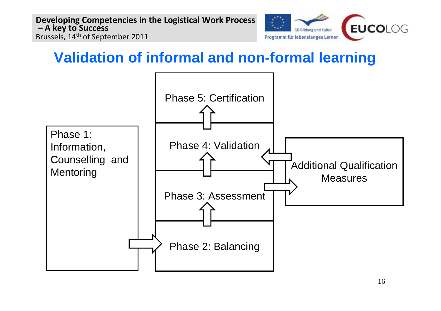

### **Validation of informal and non-formal learning**

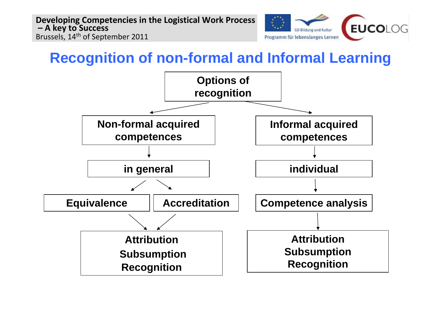

#### **Recognition of non-formal and Informal Learning**